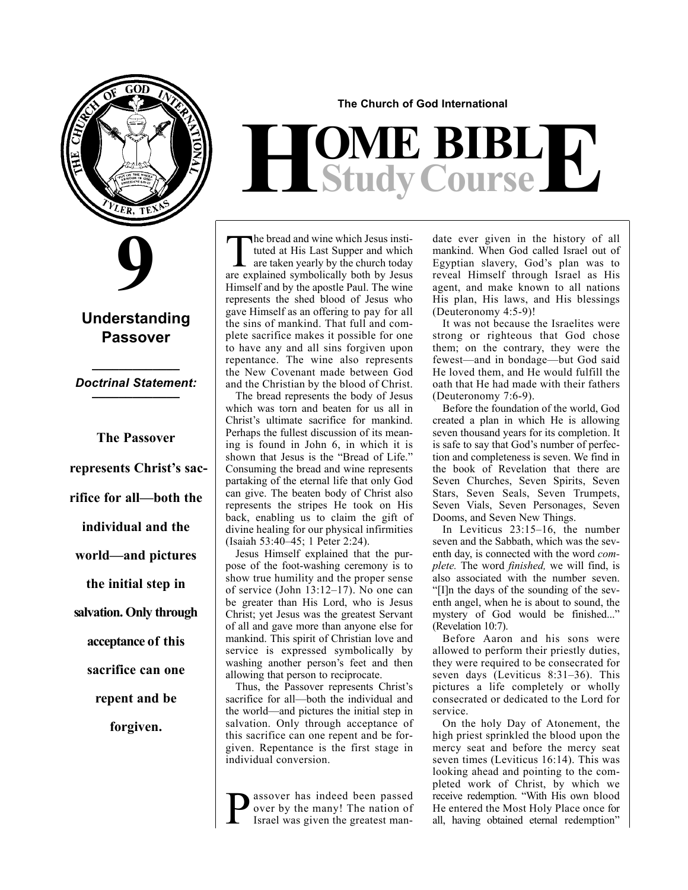

# **9**

# **Understanding Passover**

## **\_\_\_\_\_\_\_\_\_\_\_\_\_** *Doctrinal Statement:* **\_\_\_\_\_\_\_\_\_\_\_\_\_**

**The Passover represents Christ's sacrifice for all—both the individual and the world—and pictures the initial step in salvation. Only through acceptance of this sacrifice can one repent and be forgiven.**

**The Church of God International**

# $H$ **Study Course**

The bread and wine which Jesus instituted at His Last Supper and which<br>are taken yearly by the church today<br>are explained sumbolisely both by Jesus tuted at His Last Supper and which are explained symbolically both by Jesus Himself and by the apostle Paul. The wine represents the shed blood of Jesus who gave Himself as an offering to pay for all the sins of mankind. That full and complete sacrifice makes it possible for one to have any and all sins forgiven upon repentance. The wine also represents the New Covenant made between God and the Christian by the blood of Christ.

The bread represents the body of Jesus which was torn and beaten for us all in Christ's ultimate sacrifice for mankind. Perhaps the fullest discussion of its meaning is found in John 6, in which it is shown that Jesus is the "Bread of Life." Consuming the bread and wine represents partaking of the eternal life that only God can give. The beaten body of Christ also represents the stripes He took on His back, enabling us to claim the gift of divine healing for our physical infirmities (Isaiah 53:40–45; 1 Peter 2:24).

Jesus Himself explained that the purpose of the foot-washing ceremony is to show true humility and the proper sense of service (John 13:12–17). No one can be greater than His Lord, who is Jesus Christ; yet Jesus was the greatest Servant of all and gave more than anyone else for mankind. This spirit of Christian love and service is expressed symbolically by washing another person's feet and then allowing that person to reciprocate.

Thus, the Passover represents Christ's sacrifice for all—both the individual and the world—and pictures the initial step in salvation. Only through acceptance of this sacrifice can one repent and be forgiven. Repentance is the first stage in individual conversion.

assover has indeed been passed over by the many! The nation of Israel was given the greatest mandate ever given in the history of all mankind. When God called Israel out of Egyptian slavery, God's plan was to reveal Himself through Israel as His agent, and make known to all nations His plan, His laws, and His blessings (Deuteronomy 4:5-9)!

It was not because the Israelites were strong or righteous that God chose them; on the contrary, they were the fewest—and in bondage—but God said He loved them, and He would fulfill the oath that He had made with their fathers (Deuteronomy 7:6-9).

Before the foundation of the world, God created a plan in which He is allowing seven thousand years for its completion. It is safe to say that God's number of perfection and completeness is seven. We find in the book of Revelation that there are Seven Churches, Seven Spirits, Seven Stars, Seven Seals, Seven Trumpets, Seven Vials, Seven Personages, Seven Dooms, and Seven New Things.

In Leviticus 23:15–16, the number seven and the Sabbath, which was the seventh day, is connected with the word *complete.* The word *finished,* we will find, is also associated with the number seven. "[I]n the days of the sounding of the seventh angel, when he is about to sound, the mystery of God would be finished..." (Revelation 10:7).

Before Aaron and his sons were allowed to perform their priestly duties, they were required to be consecrated for seven days (Leviticus 8:31–36). This pictures a life completely or wholly consecrated or dedicated to the Lord for service.

On the holy Day of Atonement, the high priest sprinkled the blood upon the mercy seat and before the mercy seat seven times (Leviticus 16:14). This was looking ahead and pointing to the completed work of Christ, by which we receive redemption. "With His own blood He entered the Most Holy Place once for all, having obtained eternal redemption"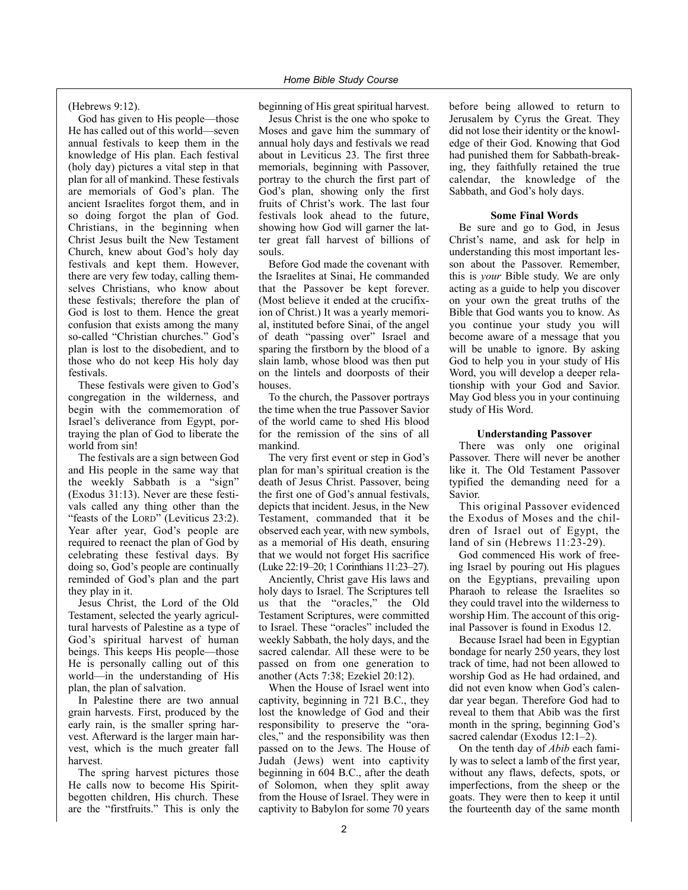(Hebrews 9:12).

God has given to His people—those He has called out of this world—seven annual festivals to keep them in the knowledge of His plan. Each festival (holy day) pictures a vital step in that plan for all of mankind. These festivals are memorials of God's plan. The ancient Israelites forgot them, and in so doing forgot the plan of God. Christians, in the beginning when Christ Jesus built the New Testament Church, knew about God's holy day festivals and kept them. However, there are very few today, calling themselves Christians, who know about these festivals; therefore the plan of God is lost to them. Hence the great confusion that exists among the many so-called "Christian churches." God's plan is lost to the disobedient, and to those who do not keep His holy day festivals.

These festivals were given to God's congregation in the wilderness, and begin with the commemoration of Israel's deliverance from Egypt, portraying the plan of God to liberate the world from sin!

The festivals are a sign between God and His people in the same way that the weekly Sabbath is a "sign" (Exodus 31:13). Never are these festivals called any thing other than the "feasts of the LORD" (Leviticus 23:2). Year after year, God's people are required to reenact the plan of God by celebrating these festival days. By doing so, God's people are continually reminded of God's plan and the part they play in it.

Jesus Christ, the Lord of the Old Testament, selected the yearly agricultural harvests of Palestine as a type of God's spiritual harvest of human beings. This keeps His people—those He is personally calling out of this world—in the understanding of His plan, the plan of salvation.

In Palestine there are two annual grain harvests. First, produced by the early rain, is the smaller spring harvest. Afterward is the larger main harvest, which is the much greater fall harvest.

The spring harvest pictures those He calls now to become His Spiritbegotten children, His church. These are the "firstfruits." This is only the beginning of His great spiritual harvest.

Jesus Christ is the one who spoke to Moses and gave him the summary of annual holy days and festivals we read about in Leviticus 23. The first three memorials, beginning with Passover, portray to the church the first part of God's plan, showing only the first fruits of Christ's work. The last four festivals look ahead to the future, showing how God will garner the latter great fall harvest of billions of souls.

Before God made the covenant with the Israelites at Sinai, He commanded that the Passover be kept forever. (Most believe it ended at the crucifixion of Christ.) It was a yearly memorial, instituted before Sinai, of the angel of death "passing over" Israel and sparing the firstborn by the blood of a slain lamb, whose blood was then put on the lintels and doorposts of their houses.

To the church, the Passover portrays the time when the true Passover Savior of the world came to shed His blood for the remission of the sins of all mankind.

The very first event or step in God's plan for man's spiritual creation is the death of Jesus Christ. Passover, being the first one of God's annual festivals, depicts that incident. Jesus, in the New Testament, commanded that it be observed each year, with new symbols, as a memorial of His death, ensuring that we would not forget His sacrifice (Luke 22:19–20; 1 Corinthians 11:23–27).

Anciently, Christ gave His laws and holy days to Israel. The Scriptures tell us that the "oracles," the Old Testament Scriptures, were committed to Israel. These "oracles" included the weekly Sabbath, the holy days, and the sacred calendar. All these were to be passed on from one generation to another (Acts 7:38; Ezekiel 20:12).

When the House of Israel went into captivity, beginning in 721 B.C., they lost the knowledge of God and their responsibility to preserve the "oracles," and the responsibility was then passed on to the Jews. The House of Judah (Jews) went into captivity beginning in 604 B.C., after the death of Solomon, when they split away from the House of Israel. They were in captivity to Babylon for some 70 years before being allowed to return to Jerusalem by Cyrus the Great. They did not lose their identity or the knowledge of their God. Knowing that God had punished them for Sabbath-breaking, they faithfully retained the true calendar, the knowledge of the Sabbath, and God's holy days.

### **Some Final Words**

Be sure and go to God, in Jesus Christ's name, and ask for help in understanding this most important lesson about the Passover. Remember, this is *your* Bible study. We are only acting as a guide to help you discover on your own the great truths of the Bible that God wants you to know. As you continue your study you will become aware of a message that you will be unable to ignore. By asking God to help you in your study of His Word, you will develop a deeper relationship with your God and Savior. May God bless you in your continuing study of His Word.

### **Understanding Passover**

There was only one original Passover. There will never be another like it. The Old Testament Passover typified the demanding need for a Savior.

This original Passover evidenced the Exodus of Moses and the children of Israel out of Egypt, the land of sin (Hebrews 11:23-29).

God commenced His work of freeing Israel by pouring out His plagues on the Egyptians, prevailing upon Pharaoh to release the Israelites so they could travel into the wilderness to worship Him. The account of this original Passover is found in Exodus 12.

Because Israel had been in Egyptian bondage for nearly 250 years, they lost track of time, had not been allowed to worship God as He had ordained, and did not even know when God's calendar year began. Therefore God had to reveal to them that Abib was the first month in the spring, beginning God's sacred calendar (Exodus 12:1–2).

On the tenth day of *Abib* each family was to select a lamb of the first year, without any flaws, defects, spots, or imperfections, from the sheep or the goats. They were then to keep it until the fourteenth day of the same month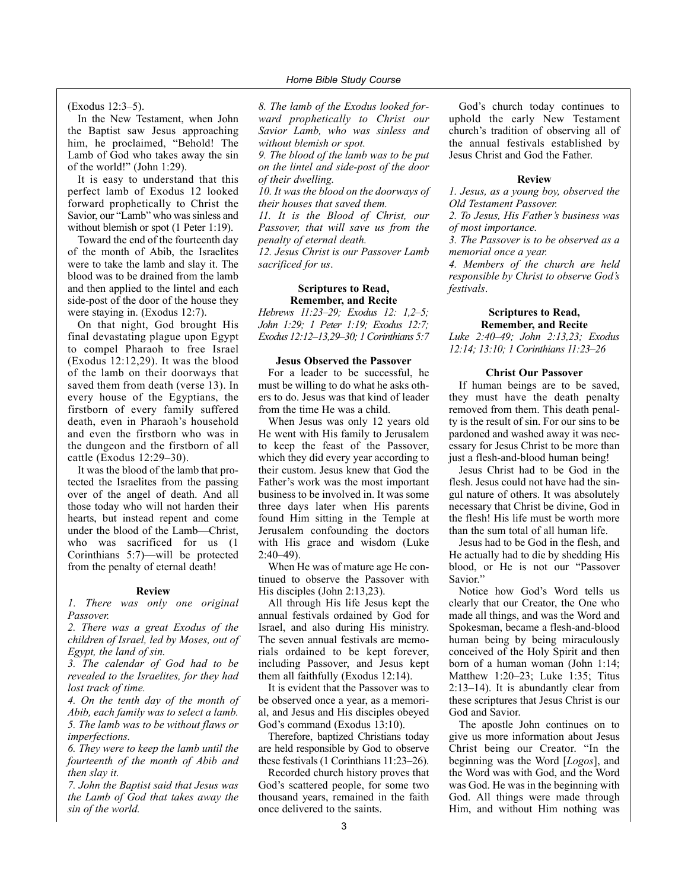(Exodus 12:3–5).

In the New Testament, when John the Baptist saw Jesus approaching him, he proclaimed, "Behold! The Lamb of God who takes away the sin of the world!" (John 1:29).

It is easy to understand that this perfect lamb of Exodus 12 looked forward prophetically to Christ the Savior, our "Lamb" who was sinless and without blemish or spot  $(1$  Peter 1:19).

Toward the end of the fourteenth day of the month of Abib, the Israelites were to take the lamb and slay it. The blood was to be drained from the lamb and then applied to the lintel and each side-post of the door of the house they were staying in. (Exodus 12:7).

On that night, God brought His final devastating plague upon Egypt to compel Pharaoh to free Israel (Exodus 12:12,29). It was the blood of the lamb on their doorways that saved them from death (verse 13). In every house of the Egyptians, the firstborn of every family suffered death, even in Pharaoh's household and even the firstborn who was in the dungeon and the firstborn of all cattle (Exodus 12:29–30).

It was the blood of the lamb that protected the Israelites from the passing over of the angel of death. And all those today who will not harden their hearts, but instead repent and come under the blood of the Lamb—Christ, who was sacrificed for us  $(1)$ Corinthians 5:7)—will be protected from the penalty of eternal death!

### **Review**

*1. There was only one original Passover.*

*2. There was a great Exodus of the children of Israel, led by Moses, out of Egypt, the land of sin.*

*3. The calendar of God had to be revealed to the Israelites, for they had lost track of time.*

*4. On the tenth day of the month of Abib, each family was to select a lamb. 5. The lamb was to be without flaws or imperfections.*

*6. They were to keep the lamb until the fourteenth of the month of Abib and then slay it.*

*7. John the Baptist said that Jesus was the Lamb of God that takes away the sin of the world.*

*8. The lamb of the Exodus looked forward prophetically to Christ our Savior Lamb, who was sinless and without blemish or spot.*

*9. The blood of the lamb was to be put on the lintel and side-post of the door of their dwelling.*

*10. It was the blood on the doorways of their houses that saved them.*

*11. It is the Blood of Christ, our Passover, that will save us from the penalty of eternal death.*

*12. Jesus Christ is our Passover Lamb sacrificed for us*.

### **Scriptures to Read, Remember, and Recite**

*Hebrews 11:23–29; Exodus 12: 1,2–5; John 1:29; 1 Peter 1:19; Exodus 12:7; Exodus 12:12–13,29–30; 1 Corinthians 5:7*

### **Jesus Observed the Passover**

For a leader to be successful, he must be willing to do what he asks others to do. Jesus was that kind of leader from the time He was a child.

When Jesus was only 12 years old He went with His family to Jerusalem to keep the feast of the Passover, which they did every year according to their custom. Jesus knew that God the Father's work was the most important business to be involved in. It was some three days later when His parents found Him sitting in the Temple at Jerusalem confounding the doctors with His grace and wisdom (Luke 2:40–49).

When He was of mature age He continued to observe the Passover with His disciples (John 2:13,23).

All through His life Jesus kept the annual festivals ordained by God for Israel, and also during His ministry. The seven annual festivals are memorials ordained to be kept forever, including Passover, and Jesus kept them all faithfully (Exodus 12:14).

It is evident that the Passover was to be observed once a year, as a memorial, and Jesus and His disciples obeyed God's command (Exodus 13:10).

Therefore, baptized Christians today are held responsible by God to observe these festivals (1 Corinthians 11:23–26).

Recorded church history proves that God's scattered people, for some two thousand years, remained in the faith once delivered to the saints.

God's church today continues to uphold the early New Testament church's tradition of observing all of the annual festivals established by Jesus Christ and God the Father.

### **Review**

*1. Jesus, as a young boy, observed the Old Testament Passover.*

*2. To Jesus, His Father's business was of most importance.*

*3. The Passover is to be observed as a memorial once a year.*

*4. Members of the church are held responsible by Christ to observe God's festivals*.

### **Scriptures to Read, Remember, and Recite**

*Luke 2:40–49; John 2:13,23; Exodus 12:14; 13:10; 1 Corinthians 11:23–26*

### **Christ Our Passover**

If human beings are to be saved, they must have the death penalty removed from them. This death penalty is the result of sin. For our sins to be pardoned and washed away it was necessary for Jesus Christ to be more than just a flesh-and-blood human being!

Jesus Christ had to be God in the flesh. Jesus could not have had the singul nature of others. It was absolutely necessary that Christ be divine, God in the flesh! His life must be worth more than the sum total of all human life.

Jesus had to be God in the flesh, and He actually had to die by shedding His blood, or He is not our "Passover Savior."

Notice how God's Word tells us clearly that our Creator, the One who made all things, and was the Word and Spokesman, became a flesh-and-blood human being by being miraculously conceived of the Holy Spirit and then born of a human woman (John 1:14; Matthew 1:20–23; Luke 1:35; Titus 2:13–14). It is abundantly clear from these scriptures that Jesus Christ is our God and Savior.

The apostle John continues on to give us more information about Jesus Christ being our Creator. "In the beginning was the Word [*Logos*], and the Word was with God, and the Word was God. He was in the beginning with God. All things were made through Him, and without Him nothing was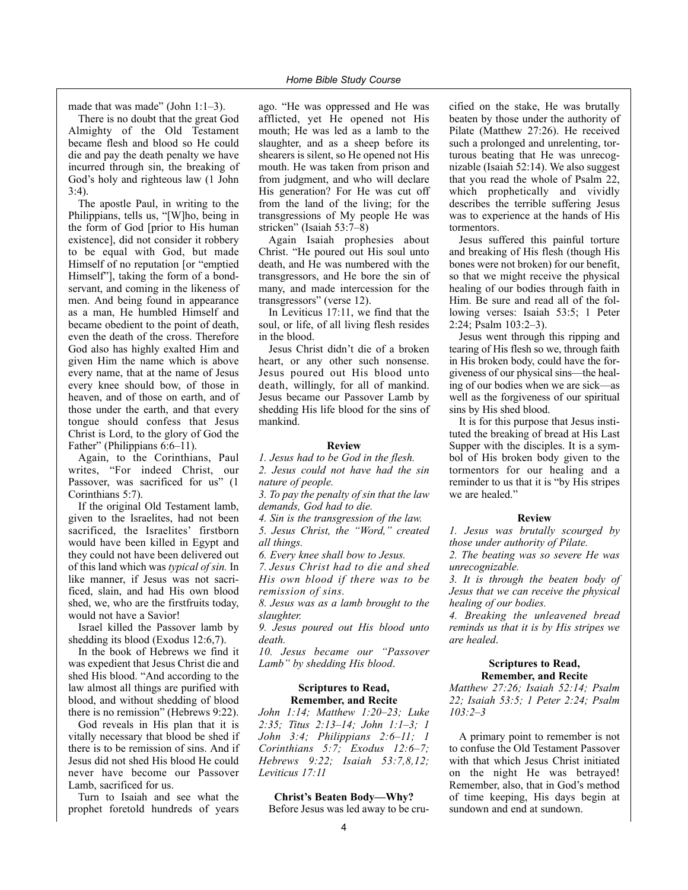made that was made" (John 1:1–3).

There is no doubt that the great God Almighty of the Old Testament became flesh and blood so He could die and pay the death penalty we have incurred through sin, the breaking of God's holy and righteous law (1 John  $3.4$ ).

The apostle Paul, in writing to the Philippians, tells us, "[W]ho, being in the form of God [prior to His human existence], did not consider it robbery to be equal with God, but made Himself of no reputation [or "emptied Himself"], taking the form of a bondservant, and coming in the likeness of men. And being found in appearance as a man, He humbled Himself and became obedient to the point of death, even the death of the cross. Therefore God also has highly exalted Him and given Him the name which is above every name, that at the name of Jesus every knee should bow, of those in heaven, and of those on earth, and of those under the earth, and that every tongue should confess that Jesus Christ is Lord, to the glory of God the Father" (Philippians 6:6–11).

Again, to the Corinthians, Paul writes, "For indeed Christ, our Passover, was sacrificed for us" (1 Corinthians 5:7).

If the original Old Testament lamb, given to the Israelites, had not been sacrificed, the Israelites' firstborn would have been killed in Egypt and they could not have been delivered out of this land which was *typical of sin.* In like manner, if Jesus was not sacrificed, slain, and had His own blood shed, we, who are the firstfruits today, would not have a Savior!

Israel killed the Passover lamb by shedding its blood (Exodus 12:6,7).

In the book of Hebrews we find it was expedient that Jesus Christ die and shed His blood. "And according to the law almost all things are purified with blood, and without shedding of blood there is no remission" (Hebrews 9:22).

God reveals in His plan that it is vitally necessary that blood be shed if there is to be remission of sins. And if Jesus did not shed His blood He could never have become our Passover Lamb, sacrificed for us.

Turn to Isaiah and see what the prophet foretold hundreds of years ago. "He was oppressed and He was afflicted, yet He opened not His mouth; He was led as a lamb to the slaughter, and as a sheep before its shearers is silent, so He opened not His mouth. He was taken from prison and from judgment, and who will declare His generation? For He was cut off from the land of the living; for the transgressions of My people He was stricken" (Isaiah 53:7–8)

Again Isaiah prophesies about Christ. "He poured out His soul unto death, and He was numbered with the transgressors, and He bore the sin of many, and made intercession for the transgressors" (verse 12).

In Leviticus 17:11, we find that the soul, or life, of all living flesh resides in the blood.

Jesus Christ didn't die of a broken heart, or any other such nonsense. Jesus poured out His blood unto death, willingly, for all of mankind. Jesus became our Passover Lamb by shedding His life blood for the sins of mankind.

### **Review**

*1. Jesus had to be God in the flesh. 2. Jesus could not have had the sin nature of people.*

*3. To pay the penalty of sin that the law demands, God had to die.*

*4. Sin is the transgression of the law.*

*5. Jesus Christ, the "Word," created all things.*

*6. Every knee shall bow to Jesus.*

*7. Jesus Christ had to die and shed His own blood if there was to be remission of sins.*

*8. Jesus was as a lamb brought to the slaughter.*

*9. Jesus poured out His blood unto death.*

*10. Jesus became our "Passover Lamb" by shedding His blood*.

### **Scriptures to Read, Remember, and Recite**

*John 1:14; Matthew 1:20–23; Luke 2:35; Titus 2:13–14; John 1:1–3; 1 John 3:4; Philippians 2:6–11; 1 Corinthians 5:7; Exodus 12:6–7; Hebrews 9:22; Isaiah 53:7,8,12; Leviticus 17:11* 

### **Christ's Beaten Body—Why?**

Before Jesus was led away to be cru-

cified on the stake, He was brutally beaten by those under the authority of Pilate (Matthew 27:26). He received such a prolonged and unrelenting, torturous beating that He was unrecognizable (Isaiah 52:14). We also suggest that you read the whole of Psalm 22, which prophetically and vividly describes the terrible suffering Jesus was to experience at the hands of His tormentors.

Jesus suffered this painful torture and breaking of His flesh (though His bones were not broken) for our benefit, so that we might receive the physical healing of our bodies through faith in Him. Be sure and read all of the following verses: Isaiah 53:5; 1 Peter 2:24; Psalm 103:2–3).

Jesus went through this ripping and tearing of His flesh so we, through faith in His broken body, could have the forgiveness of our physical sins—the healing of our bodies when we are sick—as well as the forgiveness of our spiritual sins by His shed blood.

It is for this purpose that Jesus instituted the breaking of bread at His Last Supper with the disciples. It is a symbol of His broken body given to the tormentors for our healing and a reminder to us that it is "by His stripes we are healed."

### **Review**

*1. Jesus was brutally scourged by those under authority of Pilate.*

*2. The beating was so severe He was unrecognizable.*

*3. It is through the beaten body of Jesus that we can receive the physical healing of our bodies.*

*4. Breaking the unleavened bread reminds us that it is by His stripes we are healed*.

### **Scriptures to Read, Remember, and Recite**

*Matthew 27:26; Isaiah 52:14; Psalm 22; Isaiah 53:5; 1 Peter 2:24; Psalm 103:2–3* 

A primary point to remember is not to confuse the Old Testament Passover with that which Jesus Christ initiated on the night He was betrayed! Remember, also, that in God's method of time keeping, His days begin at sundown and end at sundown.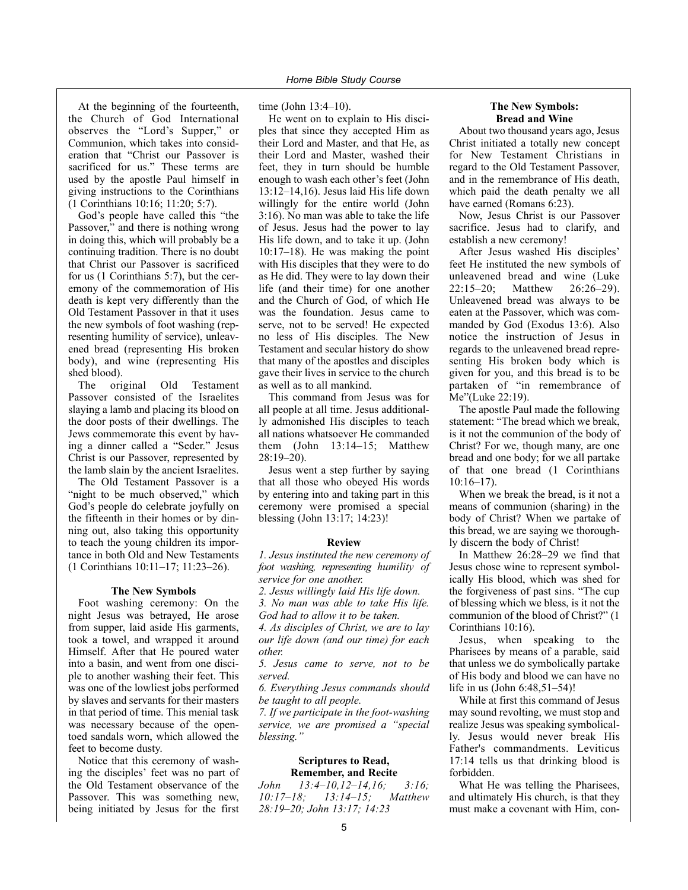At the beginning of the fourteenth, the Church of God International observes the "Lord's Supper," or Communion, which takes into consideration that "Christ our Passover is sacrificed for us." These terms are used by the apostle Paul himself in giving instructions to the Corinthians (1 Corinthians 10:16; 11:20; 5:7).

God's people have called this "the Passover," and there is nothing wrong in doing this, which will probably be a continuing tradition. There is no doubt that Christ our Passover is sacrificed for us (1 Corinthians 5:7), but the ceremony of the commemoration of His death is kept very differently than the Old Testament Passover in that it uses the new symbols of foot washing (representing humility of service), unleavened bread (representing His broken body), and wine (representing His shed blood).

The original Old Testament Passover consisted of the Israelites slaying a lamb and placing its blood on the door posts of their dwellings. The Jews commemorate this event by having a dinner called a "Seder." Jesus Christ is our Passover, represented by the lamb slain by the ancient Israelites.

The Old Testament Passover is a "night to be much observed," which God's people do celebrate joyfully on the fifteenth in their homes or by dinning out, also taking this opportunity to teach the young children its importance in both Old and New Testaments (1 Corinthians 10:11–17; 11:23–26).

### **The New Symbols**

Foot washing ceremony: On the night Jesus was betrayed, He arose from supper, laid aside His garments, took a towel, and wrapped it around Himself. After that He poured water into a basin, and went from one disciple to another washing their feet. This was one of the lowliest jobs performed by slaves and servants for their masters in that period of time. This menial task was necessary because of the opentoed sandals worn, which allowed the feet to become dusty.

Notice that this ceremony of washing the disciples' feet was no part of the Old Testament observance of the Passover. This was something new, being initiated by Jesus for the first

time (John 13:4–10).

He went on to explain to His disciples that since they accepted Him as their Lord and Master, and that He, as their Lord and Master, washed their feet, they in turn should be humble enough to wash each other's feet (John 13:12–14,16). Jesus laid His life down willingly for the entire world (John 3:16). No man was able to take the life of Jesus. Jesus had the power to lay His life down, and to take it up. (John 10:17–18). He was making the point with His disciples that they were to do as He did. They were to lay down their life (and their time) for one another and the Church of God, of which He was the foundation. Jesus came to serve, not to be served! He expected no less of His disciples. The New Testament and secular history do show that many of the apostles and disciples gave their lives in service to the church as well as to all mankind.

This command from Jesus was for all people at all time. Jesus additionally admonished His disciples to teach all nations whatsoever He commanded them (John 13:14–15; Matthew 28:19–20).

Jesus went a step further by saying that all those who obeyed His words by entering into and taking part in this ceremony were promised a special blessing (John 13:17; 14:23)!

### **Review**

*1. Jesus instituted the new ceremony of foot washing, representing humility of service for one another.*

*2. Jesus willingly laid His life down. 3. No man was able to take His life. God had to allow it to be taken.*

*4. As disciples of Christ, we are to lay our life down (and our time) for each other.*

*5. Jesus came to serve, not to be served.*

*6. Everything Jesus commands should be taught to all people.*

*7. If we participate in the foot-washing service, we are promised a "special blessing."*

### **Scriptures to Read, Remember, and Recite**

*John 13:4–10,12–14,16; 3:16; 10:17–18; 13:14–15; Matthew 28:19–20; John 13:17; 14:23*

### **The New Symbols: Bread and Wine**

About two thousand years ago, Jesus Christ initiated a totally new concept for New Testament Christians in regard to the Old Testament Passover, and in the remembrance of His death, which paid the death penalty we all have earned (Romans 6:23).

Now, Jesus Christ is our Passover sacrifice. Jesus had to clarify, and establish a new ceremony!

After Jesus washed His disciples' feet He instituted the new symbols of unleavened bread and wine (Luke 22:15–20; Matthew 26:26–29). Unleavened bread was always to be eaten at the Passover, which was commanded by God (Exodus 13:6). Also notice the instruction of Jesus in regards to the unleavened bread representing His broken body which is given for you, and this bread is to be partaken of "in remembrance of Me"(Luke 22:19).

The apostle Paul made the following statement: "The bread which we break, is it not the communion of the body of Christ? For we, though many, are one bread and one body; for we all partake of that one bread (1 Corinthians 10:16–17).

When we break the bread, is it not a means of communion (sharing) in the body of Christ? When we partake of this bread, we are saying we thoroughly discern the body of Christ!

In Matthew 26:28–29 we find that Jesus chose wine to represent symbolically His blood, which was shed for the forgiveness of past sins. "The cup of blessing which we bless, is it not the communion of the blood of Christ?" (1 Corinthians 10:16).

Jesus, when speaking to the Pharisees by means of a parable, said that unless we do symbolically partake of His body and blood we can have no life in us (John 6:48,51–54)!

While at first this command of Jesus may sound revolting, we must stop and realize Jesus was speaking symbolically. Jesus would never break His Father's commandments. Leviticus 17:14 tells us that drinking blood is forbidden.

What He was telling the Pharisees, and ultimately His church, is that they must make a covenant with Him, con-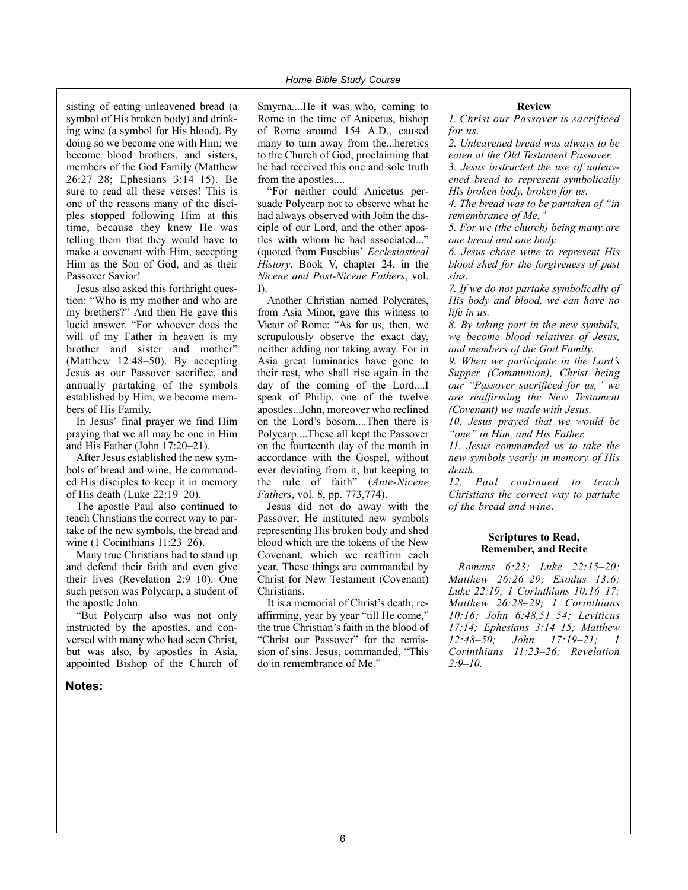sisting of eating unleavened bread (a symbol of His broken body) and drinking wine (a symbol for His blood). By doing so we become one with Him; we become blood brothers, and sisters, members of the God Family (Matthew 26:27–28; Ephesians 3:14–15). Be sure to read all these verses! This is one of the reasons many of the disciples stopped following Him at this time, because they knew He was telling them that they would have to make a covenant with Him, accepting Him as the Son of God, and as their Passover Savior!

Jesus also asked this forthright question: "Who is my mother and who are my brethers?" And then He gave this lucid answer. "For whoever does the will of my Father in heaven is my brother and sister and mother" (Matthew 12:48–50). By accepting Jesus as our Passover sacrifice, and annually partaking of the symbols established by Him, we become members of His Family.

In Jesus' final prayer we find Him praying that we all may be one in Him and His Father (John 17:20–21).

After Jesus established the new symbols of bread and wine, He commanded His disciples to keep it in memory of His death (Luke 22:19–20).

The apostle Paul also continued to teach Christians the correct way to partake of the new symbols, the bread and wine (1 Corinthians 11:23–26).

Many true Christians had to stand up and defend their faith and even give their lives (Revelation 2:9–10). One such person was Polycarp, a student of the apostle John.

"But Polycarp also was not only instructed by the apostles, and conversed with many who had seen Christ, but was also, by apostles in Asia, appointed Bishop of the Church of

### **Notes:**

Smyrna....He it was who, coming to Rome in the time of Anicetus, bishop of Rome around 154 A.D., caused many to turn away from the...heretics to the Church of God, proclaiming that he had received this one and sole truth from the apostles....

"For neither could Anicetus persuade Polycarp not to observe what he had always observed with John the disciple of our Lord, and the other apostles with whom he had associated..." (quoted from Eusebius' *Ecclesiastical History*, Book V, chapter 24, in the *Nicene and Post-Nicene Fathers*, vol. I).

Another Christian named Polycrates, from Asia Minor, gave this witness to Victor of Rome: "As for us, then, we scrupulously observe the exact day, neither adding nor taking away. For in Asia great luminaries have gone to their rest, who shall rise again in the day of the coming of the Lord....I speak of Philip, one of the twelve apostles...John, moreover who reclined on the Lord's bosom....Then there is Polycarp....These all kept the Passover on the fourteenth day of the month in accordance with the Gospel, without ever deviating from it, but keeping to the rule of faith" (*Ante-Nicene Fathers*, vol. 8, pp. 773,774).

Jesus did not do away with the Passover; He instituted new symbols representing His broken body and shed blood which are the tokens of the New Covenant, which we reaffirm each year. These things are commanded by Christ for New Testament (Covenant) Christians.

It is a memorial of Christ's death, reaffirming, year by year "till He come," the true Christian's faith in the blood of "Christ our Passover" for the remission of sins. Jesus, commanded, "This do in remembrance of Me."

### **Review**

*1. Christ our Passover is sacrificed for us.*

*2. Unleavened bread was always to be eaten at the Old Testament Passover. 3. Jesus instructed the use of unleavened bread to represent symbolically*

*His broken body, broken for us.*

*4. The bread was to be partaken of "in remembrance of Me."*

*5. For we (the church) being many are one bread and one body.*

*6. Jesus chose wine to represent His blood shed for the forgiveness of past sins.*

*7. If we do not partake symbolically of His body and blood, we can have no life in us.*

*8. By taking part in the new symbols, we become blood relatives of Jesus, and members of the God Family.*

*9. When we participate in the Lord's Supper (Communion), Christ being our "Passover sacrificed for us," we are reaffirming the New Testament (Covenant) we made with Jesus.*

*10. Jesus prayed that we would be "one" in Him, and His Father.*

*11. Jesus commanded us to take the new symbols yearly in memory of His death.*

*12. Paul continued to teach Christians the correct way to partake of the bread and wine*.

### **Scriptures to Read, Remember, and Recite**

*Romans 6:23; Luke 22:15–20; Matthew 26:26–29; Exodus 13:6; Luke 22:19; 1 Corinthians 10:16–17; Matthew 26:28–29; 1 Corinthians 10:16; John 6:48,51–54; Leviticus 17:14; Ephesians 3:14–15; Matthew 12:48–50; John 17:19–21; 1 Corinthians 11:23–26; Revelation 2:9–10.*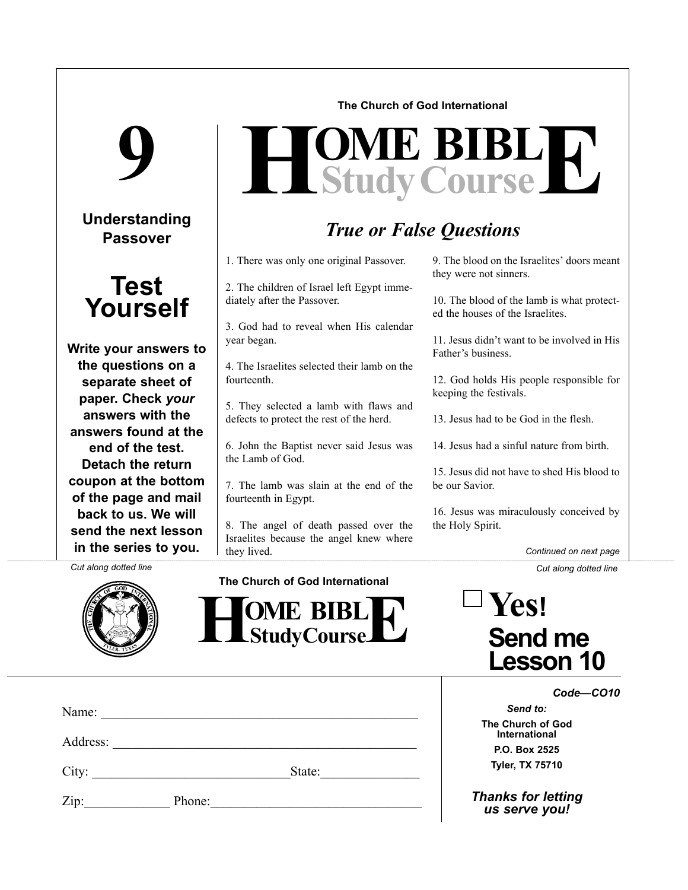### **The Church of God International**

# **9**

# **Understanding Passover**



**Write your answers to the questions on a separate sheet of paper. Check** *your* **answers with the answers found at the end of the test. Detach the return coupon at the bottom of the page and mail back to us. We will send the next lesson in the series to you.**

# $H$ **Study Course**

# *True or False Questions*

1. There was only one original Passover.

2. The children of Israel left Egypt immediately after the Passover.

3. God had to reveal when His calendar year began.

4. The Israelites selected their lamb on the fourteenth.

5. They selected a lamb with flaws and defects to protect the rest of the herd.

6. John the Baptist never said Jesus was the Lamb of God.

7. The lamb was slain at the end of the fourteenth in Egypt.

8. The angel of death passed over the Israelites because the angel knew where they lived.

9. The blood on the Israelites' doors meant they were not sinners.

10. The blood of the lamb is what protected the houses of the Israelites.

11. Jesus didn't want to be involved in His Father's business.

12. God holds His people responsible for keeping the festivals.

13. Jesus had to be God in the flesh.

14. Jesus had a sinful nature from birth.

15. Jesus did not have to shed His blood to be our Savior.

16. Jesus was miraculously conceived by the Holy Spirit.

**Yes!**

**Send me**

**Lesson 10**

*Continued on next page*

*Cut along dotted line Cut along dotted line*



**The Church of God International**

 $\frac{1}{2}$  **HOME BIBL E** 

| Name: |          |        |  |
|-------|----------|--------|--|
|       | Address: |        |  |
|       |          | State: |  |
| Zip:  | Phone:   |        |  |

*Code—CO10*

*Send to:* **The Church of God International P.O. Box 2525 Tyler, TX 75710**

*Thanks for letting us serve you!*